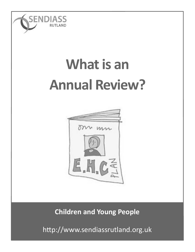

## **What is an Annual Review?**



**Children and Young People**

http://www.sendiassrutland.org.uk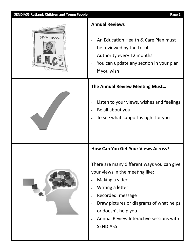| <b>SENDIASS Rutland: Children and Young People</b> | Page 1                                                                                                                                                                                                                                                                                                               |
|----------------------------------------------------|----------------------------------------------------------------------------------------------------------------------------------------------------------------------------------------------------------------------------------------------------------------------------------------------------------------------|
|                                                    | <b>Annual Reviews</b><br>An Education Health & Care Plan must<br>be reviewed by the Local<br>Authority every 12 months<br>You can update any section in your plan<br>if you wish                                                                                                                                     |
|                                                    | <b>The Annual Review Meeting Must</b><br>Listen to your views, wishes and feelings<br>Be all about you<br>To see what support is right for you                                                                                                                                                                       |
|                                                    | <b>How Can You Get Your Views Across?</b><br>There are many different ways you can give<br>your views in the meeting like:<br>Making a video<br>Writing a letter<br>Recorded message<br>Draw pictures or diagrams of what helps<br>or doesn't help you<br>Annual Review Interactive sessions with<br><b>SENDIASS</b> |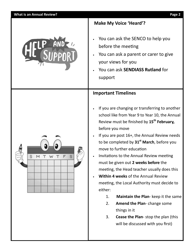

**Make My Voice 'Heard'?**

- You can ask the SENCO to help you before the meeting
- You can ask a parent or carer to give your views for you
- You can ask **SENDIASS Rutland** for support

## **Important Timelines**

- If you are changing or transferring to another school like from Year 9 to Year 10, the Annual Review must be finished by **15th February,** before you move
- If you are post 16+, the Annual Review needs to be completed by **31st March**, before you move to further education
- Invitations to the Annual Review meeting must be given out **2 weeks before** the meeting, the Head teacher usually does this
- **Within 4 weeks** of the Annual Review meeting, the Local Authority must decide to either:
	- 1. **Maintain the Plan** keep it the same
	- 2. **Amend the Plan** change some things in it
	- 3. **Cease the Plan** stop the plan (this will be discussed with you first)

**Page 2**